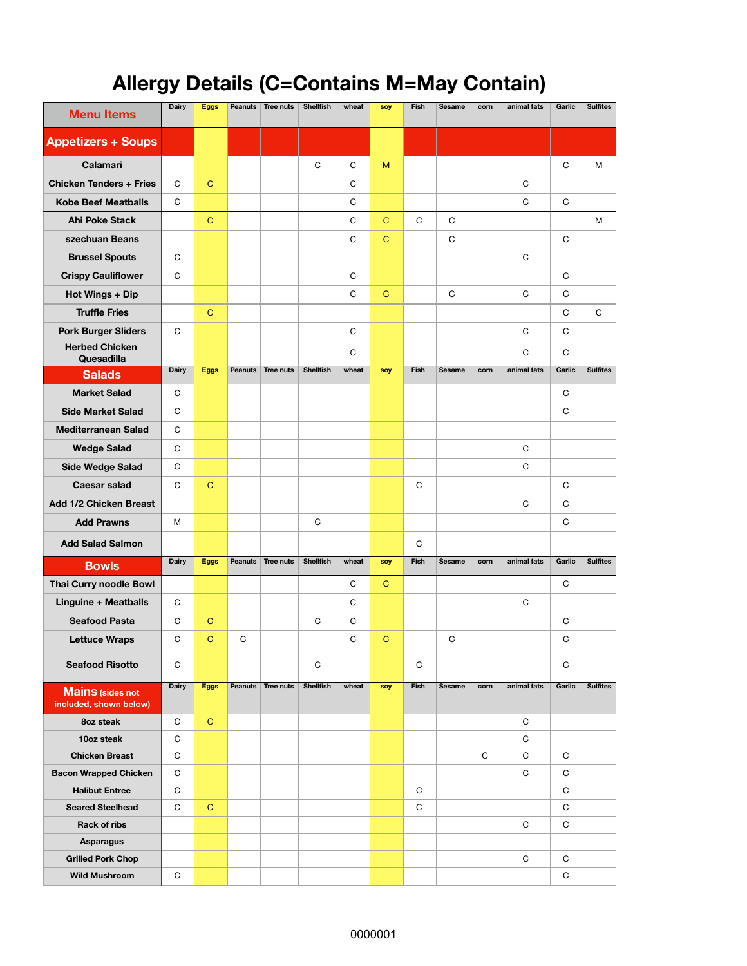## **Allergy Details (C=Contains M=May Contain)**

| <b>Menu Items</b>                                 | <b>Dairy</b> | <b>Eggs</b> | <b>Peanuts</b> | Tree nuts | <b>Shellfish</b> | wheat | soy         | Fish         | <b>Sesame</b> | corn | animal fats | Garlic | <b>Sulfites</b> |
|---------------------------------------------------|--------------|-------------|----------------|-----------|------------------|-------|-------------|--------------|---------------|------|-------------|--------|-----------------|
| <b>Appetizers + Soups</b>                         |              |             |                |           |                  |       |             |              |               |      |             |        |                 |
| Calamari                                          |              |             |                |           | C                | C     | M           |              |               |      |             | C      | M               |
| <b>Chicken Tenders + Fries</b>                    | C            | $\mathbf C$ |                |           |                  | C     |             |              |               |      | C           |        |                 |
| <b>Kobe Beef Meatballs</b>                        | C            |             |                |           |                  | C     |             |              |               |      | C           | C      |                 |
| <b>Ahi Poke Stack</b>                             |              | $\mathbf C$ |                |           |                  | C     | $\mathbf C$ | $\mathsf{C}$ | C             |      |             |        | M               |
| szechuan Beans                                    |              |             |                |           |                  | C     | $\mathbf C$ |              | C             |      |             | C      |                 |
| <b>Brussel Spouts</b>                             | C            |             |                |           |                  |       |             |              |               |      | C           |        |                 |
| <b>Crispy Cauliflower</b>                         | C            |             |                |           |                  | C     |             |              |               |      |             | C      |                 |
| Hot Wings + Dip                                   |              |             |                |           |                  | C     | C           |              | C             |      | C           | С      |                 |
| <b>Truffle Fries</b>                              |              | $\mathbf C$ |                |           |                  |       |             |              |               |      |             | C      | C               |
| <b>Pork Burger Sliders</b>                        | С            |             |                |           |                  | C     |             |              |               |      | C           | С      |                 |
| <b>Herbed Chicken</b><br>Quesadilla               |              |             |                |           |                  | C     |             |              |               |      | C           | C      |                 |
| <b>Salads</b>                                     | <b>Dairy</b> | <b>Eggs</b> | Peanuts        | Tree nuts | <b>Shellfish</b> | wheat | soy         | Fish         | <b>Sesame</b> | corn | animal fats | Garlic | <b>Sulfites</b> |
| <b>Market Salad</b>                               | C            |             |                |           |                  |       |             |              |               |      |             | C      |                 |
| <b>Side Market Salad</b>                          | C            |             |                |           |                  |       |             |              |               |      |             | С      |                 |
| <b>Mediterranean Salad</b>                        | C            |             |                |           |                  |       |             |              |               |      |             |        |                 |
| <b>Wedge Salad</b>                                | C            |             |                |           |                  |       |             |              |               |      | C           |        |                 |
| <b>Side Wedge Salad</b>                           | C            |             |                |           |                  |       |             |              |               |      | C           |        |                 |
| <b>Caesar salad</b>                               | C            | $\mathbf C$ |                |           |                  |       |             | C            |               |      |             | C      |                 |
| Add 1/2 Chicken Breast                            |              |             |                |           |                  |       |             |              |               |      | C           | C      |                 |
| <b>Add Prawns</b>                                 | M            |             |                |           | C                |       |             |              |               |      |             | С      |                 |
| <b>Add Salad Salmon</b>                           |              |             |                |           |                  |       |             | C            |               |      |             |        |                 |
| <b>Bowls</b>                                      | <b>Dairy</b> | <b>Eggs</b> | Peanuts        | Tree nuts | <b>Shellfish</b> | wheat | soy         | Fish         | <b>Sesame</b> | corn | animal fats | Garlic | <b>Sulfites</b> |
| Thai Curry noodle Bowl                            |              |             |                |           |                  | C     | $\mathbf C$ |              |               |      |             | C      |                 |
| Linguine + Meatballs                              | C            |             |                |           |                  | C     |             |              |               |      | C           |        |                 |
| <b>Seafood Pasta</b>                              | C            | $\mathbf C$ |                |           | C                | C     |             |              |               |      |             | C      |                 |
| <b>Lettuce Wraps</b>                              | C            | $\mathbf C$ | C              |           |                  | C     | $\mathbf C$ |              | C             |      |             | C      |                 |
| <b>Seafood Risotto</b>                            | C            |             |                |           | C                |       |             | C            |               |      |             | C      |                 |
| <b>Mains (sides not</b><br>included, shown below) | <b>Dairy</b> | <b>Eggs</b> | Peanuts        | Tree nuts | Shellfish        | wheat | soy         | Fish         | Sesame        | corn | animal fats | Garlic | <b>Sulfites</b> |
| 8oz steak                                         | C            | $\mathbf C$ |                |           |                  |       |             |              |               |      | C           |        |                 |
| 10oz steak                                        | C            |             |                |           |                  |       |             |              |               |      | C           |        |                 |
| <b>Chicken Breast</b>                             | C            |             |                |           |                  |       |             |              |               | C    | C           | С      |                 |
| <b>Bacon Wrapped Chicken</b>                      | C            |             |                |           |                  |       |             |              |               |      | C           | С      |                 |
| <b>Halibut Entree</b>                             | C            |             |                |           |                  |       |             | C            |               |      |             | С      |                 |
| <b>Seared Steelhead</b>                           | C            | C           |                |           |                  |       |             | C            |               |      |             | С      |                 |
| Rack of ribs                                      |              |             |                |           |                  |       |             |              |               |      | C           | С      |                 |
| <b>Asparagus</b><br><b>Grilled Pork Chop</b>      |              |             |                |           |                  |       |             |              |               |      | $\mathbf C$ | С      |                 |
| <b>Wild Mushroom</b>                              | С            |             |                |           |                  |       |             |              |               |      |             | С      |                 |
|                                                   |              |             |                |           |                  |       |             |              |               |      |             |        |                 |